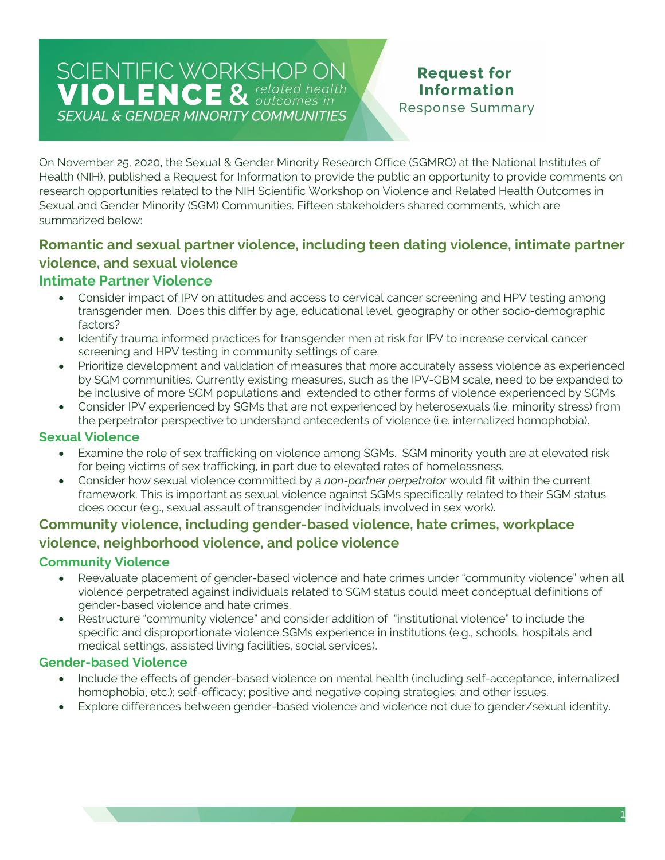## SCIENTIFIC WORKSHOP ON **VIOLENCE & related health SEXUAL & GENDER MINORITY COMMUNITIES**

# **Request for Information**

**Response Summary** 

On November 25, 2020, the Sexual & Gender Minority Research Office (SGMRO) at the National Institutes of Health (NIH), published a Request for Information to provide the public an opportunity to provide comments on research opportunities related to the NIH Scientific Workshop on Violence and Related Health Outcomes in Sexual and Gender Minority (SGM) Communities. Fifteen stakeholders shared comments, which are summarized below:

## **Romantic and sexual partner violence, including teen dating violence, intimate partner violence, and sexual violence**

#### **Intimate Partner Violence**

- Consider impact of IPV on attitudes and access to cervical cancer screening and HPV testing among transgender men. Does this differ by age, educational level, geography or other socio-demographic factors?
- Identify trauma informed practices for transgender men at risk for IPV to increase cervical cancer screening and HPV testing in community settings of care.
- Prioritize development and validation of measures that more accurately assess violence as experienced by SGM communities. Currently existing measures, such as the IPV-GBM scale, need to be expanded to be inclusive of more SGM populations and extended to other forms of violence experienced by SGMs.
- Consider IPV experienced by SGMs that are not experienced by heterosexuals (i.e. minority stress) from the perpetrator perspective to understand antecedents of violence (i.e. internalized homophobia).

#### **Sexual Violence**

- Examine the role of sex trafficking on violence among SGMs. SGM minority youth are at elevated risk for being victims of sex trafficking, in part due to elevated rates of homelessness.
- Consider how sexual violence committed by a *non-partner perpetrator* would fit within the current framework. This is important as sexual violence against SGMs specifically related to their SGM status does occur (e.g., sexual assault of transgender individuals involved in sex work).

#### **Community violence, including gender-based violence, hate crimes, workplace violence, neighborhood violence, and police violence**

#### **Community Violence**

- Reevaluate placement of gender-based violence and hate crimes under "community violence" when all violence perpetrated against individuals related to SGM status could meet conceptual definitions of gender-based violence and hate crimes.
- Restructure "community violence" and consider addition of "institutional violence" to include the specific and disproportionate violence SGMs experience in institutions (e.g., schools, hospitals and medical settings, assisted living facilities, social services).

#### **Gender-based Violence**

- Include the effects of gender-based violence on mental health (including self-acceptance, internalized homophobia, etc.); self-efficacy; positive and negative coping strategies; and other issues.
- Explore differences between gender-based violence and violence not due to gender/sexual identity.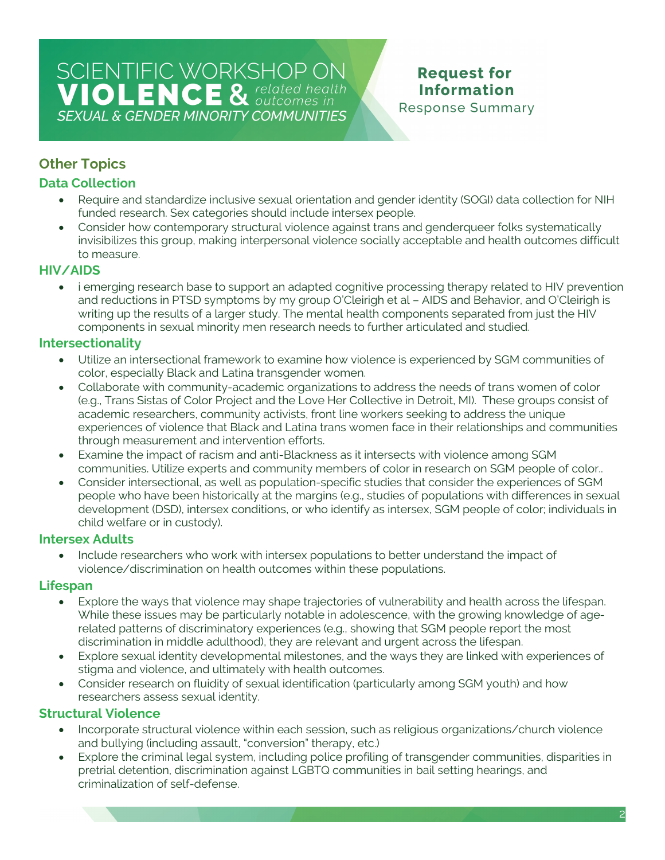# SCIENTIFIC WORKSHOP ON<br>VIOLENCE & related health **SEXUAL & GENDER MINORITY COMMUNITIES**

#### **Request for Information Response Summary**

### **Other Topics**

#### **Data Collection**

- Require and standardize inclusive sexual orientation and gender identity (SOGI) data collection for NIH funded research. Sex categories should include intersex people.
- Consider how contemporary structural violence against trans and genderqueer folks systematically invisibilizes this group, making interpersonal violence socially acceptable and health outcomes difficult to measure.

#### **HIV/AIDS**

• i emerging research base to support an adapted cognitive processing therapy related to HIV prevention and reductions in PTSD symptoms by my group O'Cleirigh et al – AIDS and Behavior, and O'Cleirigh is writing up the results of a larger study. The mental health components separated from just the HIV components in sexual minority men research needs to further articulated and studied.

#### **Intersectionality**

- Utilize an intersectional framework to examine how violence is experienced by SGM communities of color, especially Black and Latina transgender women.
- Collaborate with community-academic organizations to address the needs of trans women of color (e.g., Trans Sistas of Color Project and the Love Her Collective in Detroit, MI). These groups consist of academic researchers, community activists, front line workers seeking to address the unique experiences of violence that Black and Latina trans women face in their relationships and communities through measurement and intervention efforts.
- Examine the impact of racism and anti-Blackness as it intersects with violence among SGM communities. Utilize experts and community members of color in research on SGM people of color..
- Consider intersectional, as well as population-specific studies that consider the experiences of SGM people who have been historically at the margins (e.g., studies of populations with differences in sexual development (DSD), intersex conditions, or who identify as intersex, SGM people of color; individuals in child welfare or in custody).

#### **Intersex Adults**

• Include researchers who work with intersex populations to better understand the impact of violence/discrimination on health outcomes within these populations.

#### **Lifespan**

- Explore the ways that violence may shape trajectories of vulnerability and health across the lifespan. While these issues may be particularly notable in adolescence, with the growing knowledge of agerelated patterns of discriminatory experiences (e.g., showing that SGM people report the most discrimination in middle adulthood), they are relevant and urgent across the lifespan.
- Explore sexual identity developmental milestones, and the ways they are linked with experiences of stigma and violence, and ultimately with health outcomes.
- Consider research on fluidity of sexual identification (particularly among SGM youth) and how researchers assess sexual identity.

#### **Structural Violence**

- Incorporate structural violence within each session, such as religious organizations/church violence and bullying (including assault, "conversion" therapy, etc.)
- Explore the criminal legal system, including police profiling of transgender communities, disparities in pretrial detention, discrimination against LGBTQ communities in bail setting hearings, and criminalization of self-defense.